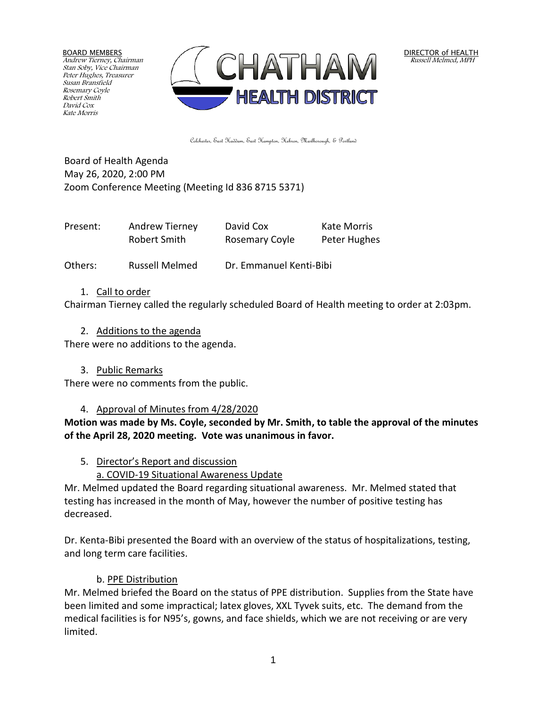BOARD MEMBERS Andrew Tierney, Chairman Stan Soby, Vice Chairman Peter Hughes, Treasurer Susan Bransfield Rosemary Coyle Robert Smith David Cox Kate Morris



DIRECTOR of HEALTH Russell Melmed, MPH

Colchester, East Haddam, East Hampton, Hebron, Marlborough, & Portland

Board of Health Agenda May 26, 2020, 2:00 PM Zoom Conference Meeting (Meeting Id 836 8715 5371)

| Present: | Andrew Tierney | David Cox      | <b>Kate Morris</b> |
|----------|----------------|----------------|--------------------|
|          | Robert Smith   | Rosemary Coyle | Peter Hughes       |

Others: Russell Melmed Dr. Emmanuel Kenti-Bibi

#### 1. Call to order

Chairman Tierney called the regularly scheduled Board of Health meeting to order at 2:03pm.

2. Additions to the agenda

There were no additions to the agenda.

3. Public Remarks

There were no comments from the public.

#### 4. Approval of Minutes from 4/28/2020

**Motion was made by Ms. Coyle, seconded by Mr. Smith, to table the approval of the minutes of the April 28, 2020 meeting. Vote was unanimous in favor.**

- 5. Director's Report and discussion
	- a. COVID-19 Situational Awareness Update

Mr. Melmed updated the Board regarding situational awareness. Mr. Melmed stated that testing has increased in the month of May, however the number of positive testing has decreased.

Dr. Kenta-Bibi presented the Board with an overview of the status of hospitalizations, testing, and long term care facilities.

### b. PPE Distribution

Mr. Melmed briefed the Board on the status of PPE distribution. Supplies from the State have been limited and some impractical; latex gloves, XXL Tyvek suits, etc. The demand from the medical facilities is for N95's, gowns, and face shields, which we are not receiving or are very limited.